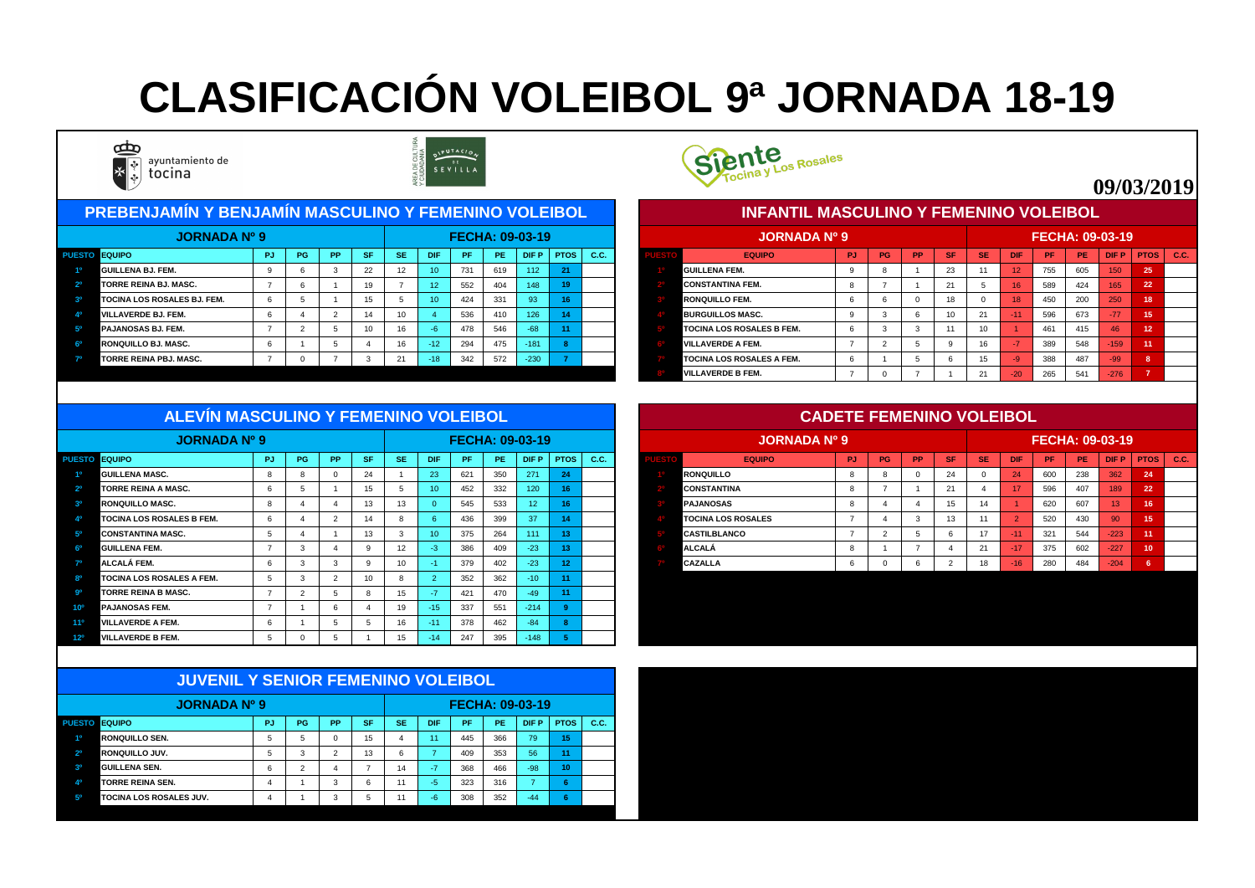| <b>PREBENJAMÍN Y BENJAMÍN MASCULINO Y FEMENINO VOLEIBOL</b> |           |           |                 |                 |                 |           |     |                        |             |      |  | <b>INFANTIL MASCULINO Y FEMENINO VOLEIBOL</b> |     |    |           |           |           |                 |           |     |                        |      |      |
|-------------------------------------------------------------|-----------|-----------|-----------------|-----------------|-----------------|-----------|-----|------------------------|-------------|------|--|-----------------------------------------------|-----|----|-----------|-----------|-----------|-----------------|-----------|-----|------------------------|------|------|
| <b>JORNADA Nº 9</b>                                         |           |           |                 |                 |                 |           |     | <b>FECHA: 09-03-19</b> |             |      |  | <b>JORNADA Nº 9</b>                           |     |    |           |           |           |                 |           |     | <b>FECHA: 09-03-19</b> |      |      |
| <b>UESTO EQUIPO</b>                                         | <b>PG</b> | <b>PP</b> | <b>SF</b>       | <b>SE</b>       | DIF             | <b>PF</b> | PE  | DIF P                  | <b>PTOS</b> | C.C. |  | <b>EQUIPO</b>                                 | PJ. | PG | <b>PP</b> | <b>SF</b> | <b>SE</b> | <b>DIF</b>      | <b>PF</b> | PE. | <b>DIFP</b>            | PTOS | C.C. |
| <b>GUILLENA BJ. FEM.</b>                                    |           |           | 22              | 12 <sup>°</sup> | 10 <sup>1</sup> | 731       | 619 | 112                    | 21          |      |  | <b>GUILLENA FEM.</b>                          |     |    |           | 23        |           | 12 <sup>1</sup> | 755       | 605 | 150                    | 25   |      |
| <b>TORRE REINA BJ. MASC.</b>                                |           |           | 19              |                 | 12 <sup>°</sup> | 552       | 404 | 148                    | 19          |      |  | <b>CONSTANTINA FEM.</b>                       |     |    |           |           |           | 16 <sup>1</sup> | 589       | 424 | 165                    | 22   |      |
| <b>TOCINA LOS ROSALES BJ. FEM.</b>                          |           |           | 15              |                 | 10 <sup>1</sup> | 424       | 331 | 93                     |             |      |  | <b>RONQUILLO FEM.</b>                         |     |    |           |           |           | 18              | 450       | 200 | 250                    | 18   |      |
| <b>VILLAVERDE BJ. FEM.</b>                                  |           |           | 14              | 10 <sup>°</sup> |                 | 536       | 410 | 126                    | 14          |      |  | <b>BURGUILLOS MASC.</b>                       |     |    |           |           |           |                 | 596       | 673 |                        | 15   |      |
| <b>PAJANOSAS BJ. FEM.</b>                                   |           |           | 10 <sup>1</sup> | 16              |                 | 478       | 546 | $-68$                  | 11          |      |  | <b>TOCINA LOS ROSALES B FEM.</b>              |     |    |           |           |           |                 | 461       | 415 | 46                     | 12   |      |
| RONQUILLO BJ. MASC.                                         |           |           |                 | 16              | $-127$          | 294       | 475 | $-181$                 |             |      |  | <b>VILLAVERDE A FEM.</b>                      |     |    |           |           |           |                 | 389       | 548 | 159                    |      |      |
| <b>TORRE REINA PBJ. MASC.</b>                               |           |           |                 |                 |                 | 342       | 572 | $-230$                 |             |      |  | <b>TOCINA LOS ROSALES A FEM.</b>              |     |    |           |           |           |                 | 388       | 487 | -99                    |      |      |



|      | <b>JORNADA Nº 9</b>              |           |           |           |           |           |            |     |           | <b>FECHA: 09-03-19</b> |                   |             |
|------|----------------------------------|-----------|-----------|-----------|-----------|-----------|------------|-----|-----------|------------------------|-------------------|-------------|
| ESTO | <b>EQUIPO</b>                    | <b>PJ</b> | <b>PG</b> | <b>PP</b> | <b>SF</b> | <b>SE</b> | <b>DIF</b> | PF  | <b>PE</b> | <b>DIFP</b>            | <b>PTOS</b>       | <b>C.C.</b> |
|      | <b>IGUILLENA FEM.</b>            | 9         | 8         |           | 23        | 11        | 12         | 755 | 605       | 150                    | 25                |             |
|      | ICONSTANTINA FEM.                | 8         |           |           | 21        | 5         | 16         | 589 | 424       | 165                    | 22                |             |
|      | <b>RONQUILLO FEM.</b>            | 6         | 6         | $\Omega$  | 18        | $\Omega$  | 18         | 450 | 200       | 250                    | 18                |             |
|      | <b>BURGUILLOS MASC.</b>          | 9         | 3         | 6         | 10        | 21        | $-11$      | 596 | 673       | $-77$                  | 15                |             |
|      | <b>TOCINA LOS ROSALES B FEM.</b> | 6         | 3         | 3         | 11        | 10        | 4          | 461 | 415       | 46                     | $12 \overline{ }$ |             |
|      | <b>VILLAVERDE A FEM.</b>         | 7         | 2         | 5         | 9         | 16        | $-7$       | 389 | 548       | $-159$                 | 11                |             |
|      | <b>TOCINA LOS ROSALES A FEM.</b> | 6         |           | 5         | 6         | 15        | $-9$       | 388 | 487       | $-99$                  | 8                 |             |
|      | <b>VILLAVERDE B FEM.</b>         | 7         | 0         | 7         |           | 21        | $-20$      | 265 | 541       | $-276$                 | $\overline{7}$    |             |

| <b>JORNADA Nº 9</b>              |    |    |           |           |           |                 |           |           | <b>FECHA: 09-03-19</b> |             |      |  | <b>JORNADA Nº 9</b>       |     |           |           |           |                 |                 |     | <b>FECHA: 09-03-19</b> |                 |                 |  |
|----------------------------------|----|----|-----------|-----------|-----------|-----------------|-----------|-----------|------------------------|-------------|------|--|---------------------------|-----|-----------|-----------|-----------|-----------------|-----------------|-----|------------------------|-----------------|-----------------|--|
| <b>PUESTO EQUIPO</b>             | PJ | PG | <b>PP</b> | <b>SF</b> | <b>SE</b> | <b>DIF</b>      | <b>PF</b> | <b>PE</b> | DIF P                  | <b>PTOS</b> | C.C. |  | <b>EQUIPO</b>             | PJ. | <b>PG</b> | <b>PP</b> | <b>SF</b> | <b>SE</b>       | <b>DIF</b>      | PF  | PE                     | <b>DIFP</b>     | $PTOS$ $C.C.$   |  |
| <b>GUILLENA MASC.</b>            |    |    |           | 24        |           | 23              | 621       | 350       | 271                    | 24          |      |  | <b>RONQUILLO</b>          |     |           |           | 24        |                 | 24              | 600 | 238                    | 362             | 24              |  |
| <b>TORRE REINA A MASC.</b>       |    |    |           |           |           | 10 <sup>°</sup> | 452       | 332       | 120 <sub>1</sub>       |             |      |  | <b>CONSTANTINA</b>        |     |           |           | 21        |                 | 17 <sub>1</sub> | 596 | 407                    | 189             | 22              |  |
| <b>RONQUILLO MASC.</b>           |    |    |           |           | 13        |                 | 545       | 533       | 12 <sup>7</sup>        |             |      |  | <b>PAJANOSAS</b>          |     |           |           |           | $\overline{11}$ |                 | 620 | 607                    | 13 <sup>°</sup> | 16              |  |
| <b>TOCINA LOS ROSALES B FEM.</b> |    |    |           |           |           |                 | 436       | 399       | 37                     |             |      |  | <b>TOCINA LOS ROSALES</b> |     |           |           |           |                 |                 | 520 | 430                    | 90              | 15              |  |
| <b>CONSTANTINA MASC.</b>         |    |    |           |           |           | 10 <sup>°</sup> | 375       | 264       | 111                    | 49.         |      |  | <b>CASTILBLANCO</b>       |     |           |           |           | 47              |                 | 321 | 544                    | $-223$          | $\overline{11}$ |  |
| <b>GUILLENA FEM.</b>             |    |    |           |           | 12        |                 | 386       | 409       | $-23$                  | 42          |      |  | <b>ALCALÁ</b>             |     |           |           |           |                 | 4177            | 375 | 602                    | $-227$          | 10              |  |
| <b>ALCALÁ FEM.</b>               |    |    |           |           | 10        |                 | 379       | 402       | $-23$                  | 12          |      |  | <b>CAZALLA</b>            |     |           |           |           | 18              | $-16$           | 280 | 484                    | $-204/$         |                 |  |
| <b>TOCINA LOS ROSALES A FEM.</b> |    |    |           |           |           |                 | 352       | 362       |                        | $-14$       |      |  |                           |     |           |           |           |                 |                 |     |                        |                 |                 |  |

|                 | <b>JORNADA Nº 9</b>              |           |    |                 |                 |                 |            | <b>FECHA: 09-03-19</b> |     |                 |             |      |
|-----------------|----------------------------------|-----------|----|-----------------|-----------------|-----------------|------------|------------------------|-----|-----------------|-------------|------|
| <b>PUESTO</b>   | <b>EQUIPO</b>                    | <b>PJ</b> | PG | PP <sub>1</sub> | <b>SF</b>       | <b>SE</b>       | <b>DIF</b> | PF.                    | PE. | <b>DIFP</b>     | <b>PTOS</b> | C.C. |
| 10              | <b>GUILLENA MASC.</b>            | -8        |    |                 | 24              |                 | 23         | 621                    | 350 | 271             | 24          |      |
| 2 <sup>o</sup>  | <b>TORRE REINA A MASC.</b>       | h         |    |                 | 15 <sub>1</sub> |                 | 10         | 452                    | 332 | 120             | 16          |      |
| 3 <sup>o</sup>  | RONQUILLO MASC.                  | -8        |    |                 | 13 <sup>2</sup> | 13              |            | 545                    | 533 | 12 <sub>2</sub> | 16          |      |
| Δ0              | <b>TOCINA LOS ROSALES B FEM.</b> | 6         |    |                 | 14              |                 |            | 436                    | 399 | 37              |             |      |
| 5 <sup>0</sup>  | <b>CONSTANTINA MASC.</b>         |           |    |                 | 13 <sup>°</sup> |                 | 10         | 375                    | 264 | 111             |             |      |
| 60              | <b>GUILLENA FEM.</b>             |           |    |                 |                 | 12              | -3.        | 386                    | 409 | $-23$           |             |      |
| 70              | ALCALÁ FEM.                      | n.        |    |                 |                 | 10              | -1         | 379                    | 402 | $-23$           | -4.9        |      |
| R <sub>0</sub>  | <b>TOCINA LOS ROSALES A FEM.</b> | -5        |    |                 | 10              |                 |            | 352                    | 362 | $-10$           |             |      |
| <b>go</b>       | <b>TORRE REINA B MASC.</b>       |           |    |                 |                 | 15 <sub>1</sub> | $-71$      | 421                    | 470 | $-49$           |             |      |
| $10^{\circ}$    | <b>PAJANOSAS FEM.</b>            |           |    |                 |                 | 19              | $-15$      | 337                    | 551 | $-214$          |             |      |
| 11º             | <b>VILLAVERDE A FEM.</b>         | <b>b</b>  |    |                 |                 | 16              | $-11$      | 378                    | 462 | $-84$           |             |      |
| 12 <sup>o</sup> | <b>VILLAVERDE B FEM.</b>         |           |    |                 |                 | 15              | $-14$      | 247                    | 395 | $-148$          |             |      |

|                | <b>JUVENIL Y SENIOR FEMENINO VOLEIBOL</b> |           |    |               |           |           |               |                        |           |             |                 |             |
|----------------|-------------------------------------------|-----------|----|---------------|-----------|-----------|---------------|------------------------|-----------|-------------|-----------------|-------------|
|                | <b>JORNADA Nº 9</b>                       |           |    |               |           |           |               | <b>FECHA: 09-03-19</b> |           |             |                 |             |
|                | <b>PUESTO EQUIPO</b>                      | <b>PJ</b> | PG | PP            | <b>SF</b> | <b>SE</b> | <b>DIF</b>    | <b>PF</b>              | <b>PE</b> | <b>DIFP</b> | <b>PTOS</b>     | <b>C.C.</b> |
| 1 <sup>0</sup> | <b>RONQUILLO SEN.</b>                     | 5         | 5  | 0             | 15        | 4         | 11            | 445                    | 366       | 79          | 15              |             |
| 2 <sup>0</sup> | <b>RONQUILLO JUV.</b>                     | 5         | 3  | $\mathcal{P}$ | 13        | 6         | 7             | 409                    | 353       | 56          | $\overline{11}$ |             |
| 3 <sup>o</sup> | <b>GUILLENA SEN.</b>                      | 6         | 2  | 4             | ⇁         | 14        | $\sqrt{-7/2}$ | 368                    | 466       | $-98$       | 10              |             |
| 4 <sup>0</sup> | <b>TORRE REINA SEN.</b>                   | 4         |    | 3             | 6         | 11        | $-5$          | 323                    | 316       |             | 6               |             |
| 5 <sup>o</sup> | <b>TOCINA LOS ROSALES JUV.</b>            | 4         |    | 3             | 5         | 11        | $-6$          | 308                    | 352       | $-44$       | 6               |             |



#### **ALEVÍN MASCULINO Y FEMENINO VOLEIBOL**

# **CLASIFICACIÓN VOLEIBOL 9ª JORNADA 18-19**



ayuntamiento de tocina



### **09/03/2019**

#### **CADETE FEMENINO VOLEIBOL**

#### **INFANTIL MASCULINO Y FEMENINO VOLEIBOL**